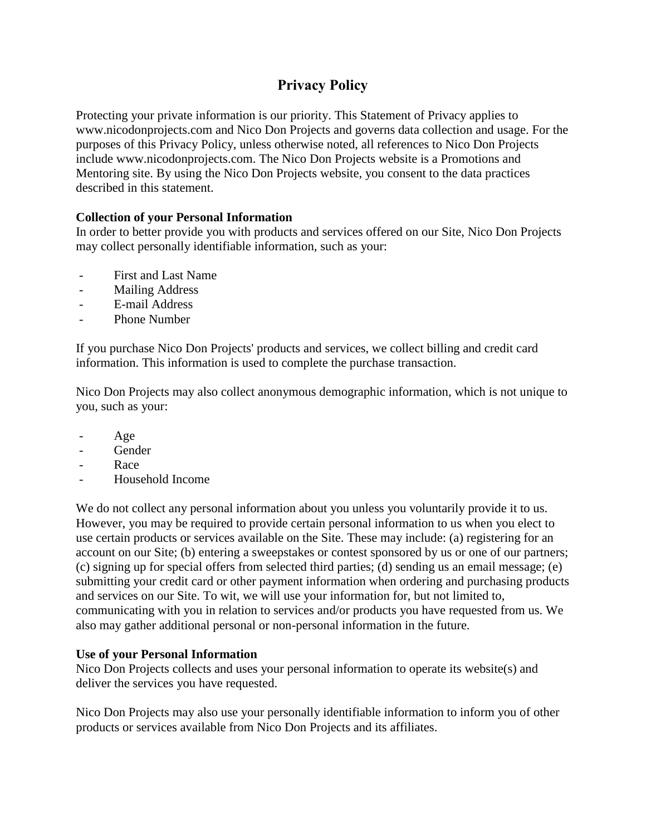# **Privacy Policy**

Protecting your private information is our priority. This Statement of Privacy applies to www.nicodonprojects.com and Nico Don Projects and governs data collection and usage. For the purposes of this Privacy Policy, unless otherwise noted, all references to Nico Don Projects include www.nicodonprojects.com. The Nico Don Projects website is a Promotions and Mentoring site. By using the Nico Don Projects website, you consent to the data practices described in this statement.

# **Collection of your Personal Information**

In order to better provide you with products and services offered on our Site, Nico Don Projects may collect personally identifiable information, such as your:

- First and Last Name
- Mailing Address
- E-mail Address
- Phone Number

If you purchase Nico Don Projects' products and services, we collect billing and credit card information. This information is used to complete the purchase transaction.

Nico Don Projects may also collect anonymous demographic information, which is not unique to you, such as your:

- Age
- Gender
- Race
- Household Income

We do not collect any personal information about you unless you voluntarily provide it to us. However, you may be required to provide certain personal information to us when you elect to use certain products or services available on the Site. These may include: (a) registering for an account on our Site; (b) entering a sweepstakes or contest sponsored by us or one of our partners; (c) signing up for special offers from selected third parties; (d) sending us an email message; (e) submitting your credit card or other payment information when ordering and purchasing products and services on our Site. To wit, we will use your information for, but not limited to, communicating with you in relation to services and/or products you have requested from us. We also may gather additional personal or non-personal information in the future.

# **Use of your Personal Information**

Nico Don Projects collects and uses your personal information to operate its website(s) and deliver the services you have requested.

Nico Don Projects may also use your personally identifiable information to inform you of other products or services available from Nico Don Projects and its affiliates.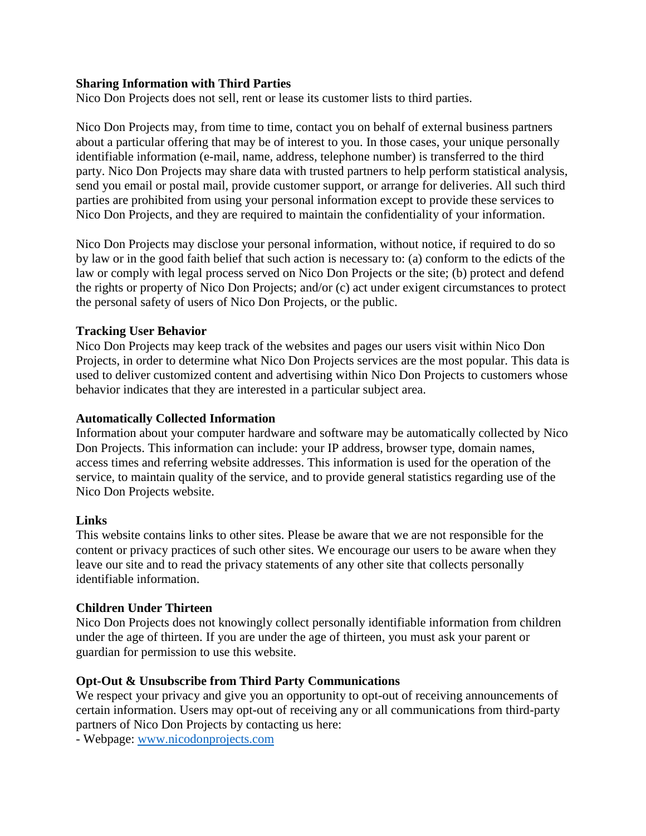### **Sharing Information with Third Parties**

Nico Don Projects does not sell, rent or lease its customer lists to third parties.

Nico Don Projects may, from time to time, contact you on behalf of external business partners about a particular offering that may be of interest to you. In those cases, your unique personally identifiable information (e-mail, name, address, telephone number) is transferred to the third party. Nico Don Projects may share data with trusted partners to help perform statistical analysis, send you email or postal mail, provide customer support, or arrange for deliveries. All such third parties are prohibited from using your personal information except to provide these services to Nico Don Projects, and they are required to maintain the confidentiality of your information.

Nico Don Projects may disclose your personal information, without notice, if required to do so by law or in the good faith belief that such action is necessary to: (a) conform to the edicts of the law or comply with legal process served on Nico Don Projects or the site; (b) protect and defend the rights or property of Nico Don Projects; and/or (c) act under exigent circumstances to protect the personal safety of users of Nico Don Projects, or the public.

## **Tracking User Behavior**

Nico Don Projects may keep track of the websites and pages our users visit within Nico Don Projects, in order to determine what Nico Don Projects services are the most popular. This data is used to deliver customized content and advertising within Nico Don Projects to customers whose behavior indicates that they are interested in a particular subject area.

#### **Automatically Collected Information**

Information about your computer hardware and software may be automatically collected by Nico Don Projects. This information can include: your IP address, browser type, domain names, access times and referring website addresses. This information is used for the operation of the service, to maintain quality of the service, and to provide general statistics regarding use of the Nico Don Projects website.

#### **Links**

This website contains links to other sites. Please be aware that we are not responsible for the content or privacy practices of such other sites. We encourage our users to be aware when they leave our site and to read the privacy statements of any other site that collects personally identifiable information.

#### **Children Under Thirteen**

Nico Don Projects does not knowingly collect personally identifiable information from children under the age of thirteen. If you are under the age of thirteen, you must ask your parent or guardian for permission to use this website.

#### **Opt-Out & Unsubscribe from Third Party Communications**

We respect your privacy and give you an opportunity to opt-out of receiving announcements of certain information. Users may opt-out of receiving any or all communications from third-party partners of Nico Don Projects by contacting us here:

- Webpage: [www.nicodonprojects.com](http://www.nicodonprojects.com/)